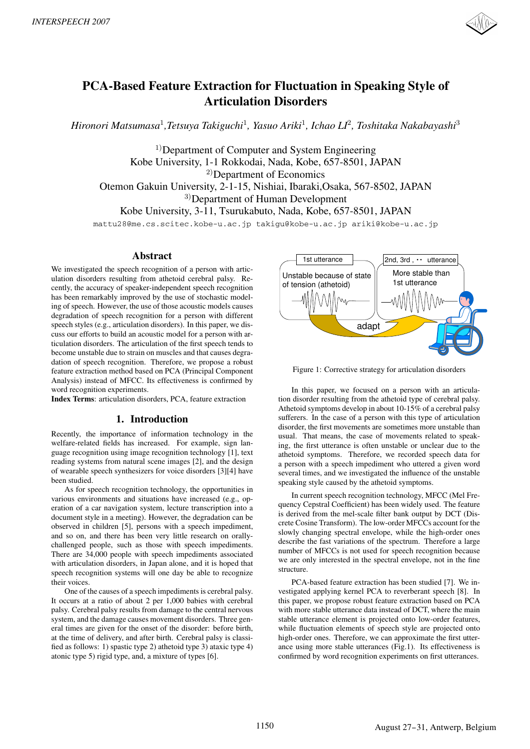

# **PCA-Based Feature Extraction for Fluctuation in Speaking Style of Articulation Disorders**

*Hironori Matsumasa*<sup>1</sup>*,Tetsuya Takiguchi*<sup>1</sup>*, Yasuo Ariki*<sup>1</sup>*, Ichao LI*<sup>2</sup>*, Toshitaka Nakabayashi*<sup>3</sup>

 $<sup>1</sup>$ Department of Computer and System Engineering</sup> Kobe University, 1-1 Rokkodai, Nada, Kobe, 657-8501, JAPAN <sup>2)</sup>Department of Economics Otemon Gakuin University, 2-1-15, Nishiai, Ibaraki,Osaka, 567-8502, JAPAN 3)Department of Human Development Kobe University, 3-11, Tsurukabuto, Nada, Kobe, 657-8501, JAPAN

mattu28@me.cs.scitec.kobe-u.ac.jp takigu@kobe-u.ac.jp ariki@kobe-u.ac.jp

# **Abstract**

We investigated the speech recognition of a person with articulation disorders resulting from athetoid cerebral palsy. Recently, the accuracy of speaker-independent speech recognition has been remarkably improved by the use of stochastic modeling of speech. However, the use of those acoustic models causes degradation of speech recognition for a person with different speech styles (e.g., articulation disorders). In this paper, we discuss our efforts to build an acoustic model for a person with articulation disorders. The articulation of the first speech tends to become unstable due to strain on muscles and that causes degradation of speech recognition. Therefore, we propose a robust feature extraction method based on PCA (Principal Component Analysis) instead of MFCC. Its effectiveness is confirmed by word recognition experiments.

**Index Terms**: articulation disorders, PCA, feature extraction

# **1. Introduction**

Recently, the importance of information technology in the welfare-related fields has increased. For example, sign language recognition using image recognition technology [1], text reading systems from natural scene images [2], and the design of wearable speech synthesizers for voice disorders [3][4] have been studied.

As for speech recognition technology, the opportunities in various environments and situations have increased (e.g., operation of a car navigation system, lecture transcription into a document style in a meeting). However, the degradation can be observed in children [5], persons with a speech impediment, and so on, and there has been very little research on orallychallenged people, such as those with speech impediments. There are 34,000 people with speech impediments associated with articulation disorders, in Japan alone, and it is hoped that speech recognition systems will one day be able to recognize their voices.

One of the causes of a speech impediments is cerebral palsy. It occurs at a ratio of about 2 per 1,000 babies with cerebral palsy. Cerebral palsy results from damage to the central nervous system, and the damage causes movement disorders. Three general times are given for the onset of the disorder: before birth, at the time of delivery, and after birth. Cerebral palsy is classified as follows: 1) spastic type 2) athetoid type 3) ataxic type 4) atonic type 5) rigid type, and, a mixture of types [6].



Figure 1: Corrective strategy for articulation disorders

In this paper, we focused on a person with an articulation disorder resulting from the athetoid type of cerebral palsy. Athetoid symptoms develop in about 10-15% of a cerebral palsy sufferers. In the case of a person with this type of articulation disorder, the first movements are sometimes more unstable than usual. That means, the case of movements related to speaking, the first utterance is often unstable or unclear due to the athetoid symptoms. Therefore, we recorded speech data for a person with a speech impediment who uttered a given word several times, and we investigated the influence of the unstable speaking style caused by the athetoid symptoms.

In current speech recognition technology, MFCC (Mel Frequency Cepstral Coefficient) has been widely used. The feature is derived from the mel-scale filter bank output by DCT (Discrete Cosine Transform). The low-order MFCCs account for the slowly changing spectral envelope, while the high-order ones describe the fast variations of the spectrum. Therefore a large number of MFCCs is not used for speech recognition because we are only interested in the spectral envelope, not in the fine structure.

PCA-based feature extraction has been studied [7]. We investigated applying kernel PCA to reverberant speech [8]. In this paper, we propose robust feature extraction based on PCA with more stable utterance data instead of DCT, where the main stable utterance element is projected onto low-order features, while fluctuation elements of speech style are projected onto high-order ones. Therefore, we can approximate the first utterance using more stable utterances (Fig.1). Its effectiveness is confirmed by word recognition experiments on first utterances.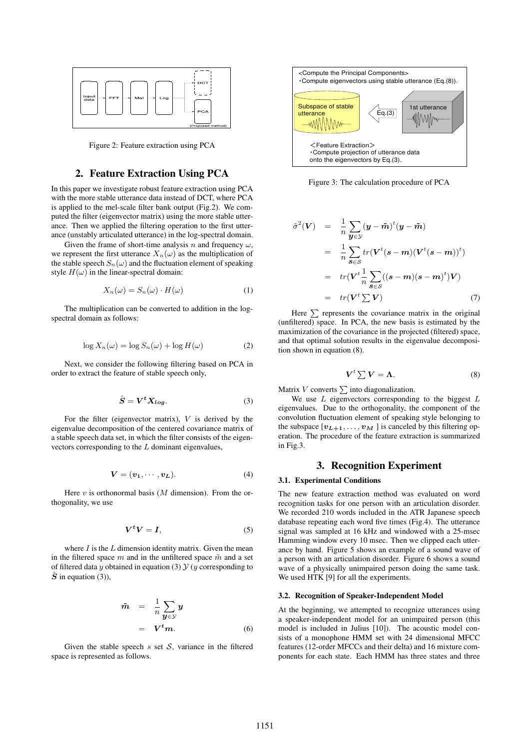

Figure 2: Feature extraction using PCA

# **2. Feature Extraction Using PCA**

In this paper we investigate robust feature extraction using PCA with the more stable utterance data instead of DCT, where PCA is applied to the mel-scale filter bank output (Fig.2). We computed the filter (eigenvector matrix) using the more stable utterance. Then we applied the filtering operation to the first utterance (unstably articulated utterance) in the log-spectral domain.

Given the frame of short-time analysis n and frequency  $\omega$ , we represent the first utterance  $X_n(\omega)$  as the multiplication of the stable speech  $S_n(\omega)$  and the fluctuation element of speaking style  $H(\omega)$  in the linear-spectral domain:

$$
X_n(\omega) = S_n(\omega) \cdot H(\omega) \tag{1}
$$

The multiplication can be converted to addition in the logspectral domain as follows:

$$
\log X_n(\omega) = \log S_n(\omega) + \log H(\omega) \tag{2}
$$

Next, we consider the following filtering based on PCA in order to extract the feature of stable speech only,

$$
\hat{S} = V^t X_{log}.\tag{3}
$$

For the filter (eigenvector matrix),  $V$  is derived by the eigenvalue decomposition of the centered covariance matrix of a stable speech data set, in which the filter consists of the eigenvectors corresponding to the  $L$  dominant eigenvalues,

$$
\mathbf{V} = (\mathbf{v}_1, \cdots, \mathbf{v}_L). \tag{4}
$$

Here  $v$  is orthonormal basis ( $M$  dimension). From the orthogonality, we use

$$
V^t V = I,\t\t(5)
$$

where  $I$  is the  $L$  dimension identity matrix. Given the mean in the filtered space m and in the unfiltered space  $\tilde{m}$  and a set of filtered data y obtained in equation (3)  $\mathcal{Y}(y)$  corresponding to  $\tilde{S}$  in equation (3)),

$$
\tilde{m} = \frac{1}{n} \sum_{\mathbf{y} \in \mathcal{Y}} \mathbf{y} \n= \mathbf{V}^t \mathbf{m}.
$$
\n(6)

Given the stable speech  $s$  set  $S$ , variance in the filtered space is represented as follows.



Figure 3: The calculation procedure of PCA

$$
\tilde{\sigma}^2(\mathbf{V}) = \frac{1}{n} \sum_{\mathbf{y} \in \mathcal{Y}} (\mathbf{y} - \tilde{\mathbf{m}})^t (\mathbf{y} - \tilde{\mathbf{m}})
$$
  
\n
$$
= \frac{1}{n} \sum_{\mathbf{s} \in \mathcal{S}} tr(\mathbf{V}^t (\mathbf{s} - \mathbf{m})(\mathbf{V}^t (\mathbf{s} - \mathbf{m}))^t)
$$
  
\n
$$
= tr(\mathbf{V}^t \frac{1}{n} \sum_{\mathbf{s} \in \mathcal{S}} ((\mathbf{s} - \mathbf{m})(\mathbf{s} - \mathbf{m})^t) \mathbf{V})
$$
  
\n
$$
= tr(\mathbf{V}^t \sum \mathbf{V})
$$
 (7)

Here  $\sum$  represents the covariance matrix in the original (unfiltered) space. In PCA, the new basis is estimated by the maximization of the covariance in the projected (filtered) space, and that optimal solution results in the eigenvalue decomposition shown in equation (8).

$$
V^t \sum V = \Lambda. \tag{8}
$$

Matrix  $V$  converts  $\sum$  into diagonalization.

We use  $L$  eigenvectors corresponding to the biggest  $L$ eigenvalues. Due to the orthogonality, the component of the convolution fluctuation element of speaking style belonging to the subspace  $[v_{L+1},..., v_M]$  is canceled by this filtering operation. The procedure of the feature extraction is summarized in Fig.3.

# **3. Recognition Experiment**

# **3.1. Experimental Conditions**

The new feature extraction method was evaluated on word recognition tasks for one person with an articulation disorder. We recorded 210 words included in the ATR Japanese speech database repeating each word five times (Fig.4). The utterance signal was sampled at 16 kHz and windowed with a 25-msec Hamming window every 10 msec. Then we clipped each utterance by hand. Figure 5 shows an example of a sound wave of a person with an articulation disorder. Figure 6 shows a sound wave of a physically unimpaired person doing the same task. We used HTK [9] for all the experiments.

#### **3.2. Recognition of Speaker-Independent Model**

At the beginning, we attempted to recognize utterances using a speaker-independent model for an unimpaired person (this model is included in Julius [10]). The acoustic model consists of a monophone HMM set with 24 dimensional MFCC features (12-order MFCCs and their delta) and 16 mixture components for each state. Each HMM has three states and three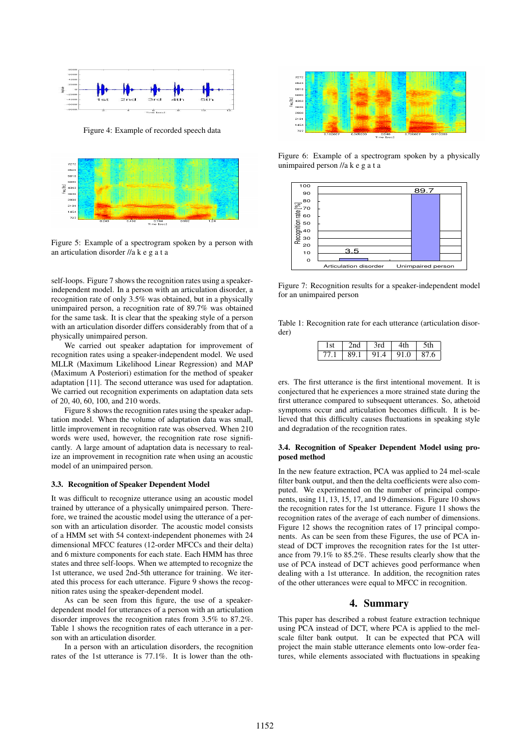

Figure 4: Example of recorded speech data



Figure 5: Example of a spectrogram spoken by a person with an articulation disorder //akegata

self-loops. Figure 7 shows the recognition rates using a speakerindependent model. In a person with an articulation disorder, a recognition rate of only 3.5% was obtained, but in a physically unimpaired person, a recognition rate of 89.7% was obtained for the same task. It is clear that the speaking style of a person with an articulation disorder differs considerably from that of a physically unimpaired person.

We carried out speaker adaptation for improvement of recognition rates using a speaker-independent model. We used MLLR (Maximum Likelihood Linear Regression) and MAP (Maximum A Posteriori) estimation for the method of speaker adaptation [11]. The second utterance was used for adaptation. We carried out recognition experiments on adaptation data sets of 20, 40, 60, 100, and 210 words.

Figure 8 shows the recognition rates using the speaker adaptation model. When the volume of adaptation data was small, little improvement in recognition rate was observed. When 210 words were used, however, the recognition rate rose significantly. A large amount of adaptation data is necessary to realize an improvement in recognition rate when using an acoustic model of an unimpaired person.

# **3.3. Recognition of Speaker Dependent Model**

It was difficult to recognize utterance using an acoustic model trained by utterance of a physically unimpaired person. Therefore, we trained the acoustic model using the utterance of a person with an articulation disorder. The acoustic model consists of a HMM set with 54 context-independent phonemes with 24 dimensional MFCC features (12-order MFCCs and their delta) and 6 mixture components for each state. Each HMM has three states and three self-loops. When we attempted to recognize the 1st utterance, we used 2nd-5th utterance for training. We iterated this process for each utterance. Figure 9 shows the recognition rates using the speaker-dependent model.

As can be seen from this figure, the use of a speakerdependent model for utterances of a person with an articulation disorder improves the recognition rates from 3.5% to 87.2%. Table 1 shows the recognition rates of each utterance in a person with an articulation disorder.

In a person with an articulation disorders, the recognition rates of the 1st utterance is 77.1%. It is lower than the oth-



Figure 6: Example of a spectrogram spoken by a physically unimpaired person //akegata



Figure 7: Recognition results for a speaker-independent model for an unimpaired person

Table 1: Recognition rate for each utterance (articulation disorder)

|     |     | rd   |                     |    |
|-----|-----|------|---------------------|----|
| 77. | 89. | 91.4 | Q <sub>1</sub><br>0 | .6 |

ers. The first utterance is the first intentional movement. It is conjectured that he experiences a more strained state during the first utterance compared to subsequent utterances. So, athetoid symptoms occur and articulation becomes difficult. It is believed that this difficulty causes fluctuations in speaking style and degradation of the recognition rates.

## **3.4. Recognition of Speaker Dependent Model using proposed method**

In the new feature extraction, PCA was applied to 24 mel-scale filter bank output, and then the delta coefficients were also computed. We experimented on the number of principal components, using 11, 13, 15, 17, and 19 dimensions. Figure 10 shows the recognition rates for the 1st utterance. Figure 11 shows the recognition rates of the average of each number of dimensions. Figure 12 shows the recognition rates of 17 principal components. As can be seen from these Figures, the use of PCA instead of DCT improves the recognition rates for the 1st utterance from 79.1% to 85.2%. These results clearly show that the use of PCA instead of DCT achieves good performance when dealing with a 1st utterance. In addition, the recognition rates of the other utterances were equal to MFCC in recognition.

# **4. Summary**

This paper has described a robust feature extraction technique using PCA instead of DCT, where PCA is applied to the melscale filter bank output. It can be expected that PCA will project the main stable utterance elements onto low-order features, while elements associated with fluctuations in speaking